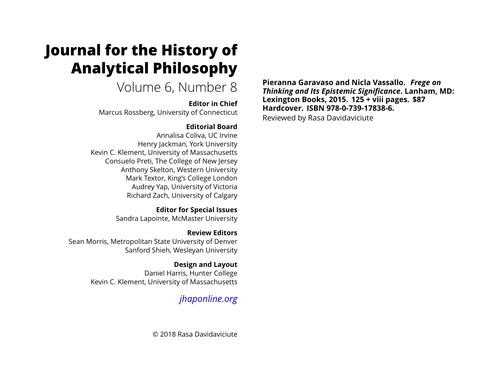# **Journal for the History of Analytical Philosophy**

Volume 6, Number 8

### **Editor in Chief**

Marcus Rossberg, University of Connecticut

# **Editorial Board**

Annalisa Coliva, UC Irvine Henry Jackman, York University Kevin C. Klement, University of Massachusetts Consuelo Preti, The College of New Jersey Anthony Skelton, Western University Mark Textor, King's College London Audrey Yap, University of Victoria Richard Zach, University of Calgary

> **Editor for Special Issues** Sandra Lapointe, McMaster University

**Review Editors** Sean Morris, Metropolitan State University of Denver Sanford Shieh, Wesleyan University

> **Design and Layout** Daniel Harris, Hunter College Kevin C. Klement, University of Massachusetts

> > *jhaponline.org*

© 2018 Rasa Davidaviciute

**Pieranna Garavaso and Nicla Vassallo.** *Frege on Thinking and Its Epistemic Significance***. Lanham, MD: Lexington Books, 2015. 125 + viii pages. \$87 Hardcover. ISBN 978-0-739-17838-6.** Reviewed by Rasa Davidaviciute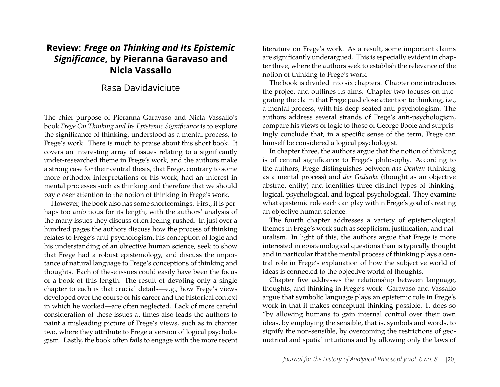# **Review:** *Frege on Thinking and Its Epistemic Significance***, by Pieranna Garavaso and Nicla Vassallo**

### Rasa Davidaviciute

The chief purpose of Pieranna Garavaso and Nicla Vassallo's book *Frege On Thinking and Its Epistemic Significance* is to explore the significance of thinking, understood as a mental process, to Frege's work. There is much to praise about this short book. It covers an interesting array of issues relating to a significantly under-researched theme in Frege's work, and the authors make a strong case for their central thesis, that Frege, contrary to some more orthodox interpretations of his work, had an interest in mental processes such as thinking and therefore that we should pay closer attention to the notion of thinking in Frege's work.

However, the book also has some shortcomings. First, it is perhaps too ambitious for its length, with the authors' analysis of the many issues they discuss often feeling rushed. In just over a hundred pages the authors discuss how the process of thinking relates to Frege's anti-psychologism, his conception of logic and his understanding of an objective human science, seek to show that Frege had a robust epistemology, and discuss the importance of natural language to Frege's conceptions of thinking and thoughts. Each of these issues could easily have been the focus of a book of this length. The result of devoting only a single chapter to each is that crucial details—e.g., how Frege's views developed over the course of his career and the historical context in which he worked—are often neglected. Lack of more careful consideration of these issues at times also leads the authors to paint a misleading picture of Frege's views, such as in chapter two, where they attribute to Frege a version of logical psychologism. Lastly, the book often fails to engage with the more recent

literature on Frege's work. As a result, some important claims are significantly underargued. This is especially evident in chapter three, where the authors seek to establish the relevance of the notion of thinking to Frege's work.

The book is divided into six chapters. Chapter one introduces the project and outlines its aims. Chapter two focuses on integrating the claim that Frege paid close attention to thinking, i.e., a mental process, with his deep-seated anti-psychologism. The authors address several strands of Frege's anti-psychologism, compare his views of logic to those of George Boole and surprisingly conclude that, in a specific sense of the term, Frege can himself be considered a logical psychologist.

In chapter three, the authors argue that the notion of thinking is of central significance to Frege's philosophy. According to the authors, Frege distinguishes between *das Denken* (thinking as a mental process) and *der Gedanke* (thought as an objective abstract entity) and identifies three distinct types of thinking: logical, psychological, and logical-psychological. They examine what epistemic role each can play within Frege's goal of creating an objective human science.

The fourth chapter addresses a variety of epistemological themes in Frege's work such as scepticism, justification, and naturalism. In light of this, the authors argue that Frege is more interested in epistemological questions than is typically thought and in particular that the mental process of thinking plays a central role in Frege's explanation of how the subjective world of ideas is connected to the objective world of thoughts.

Chapter five addresses the relationship between language, thoughts, and thinking in Frege's work. Garavaso and Vassallo argue that symbolic language plays an epistemic role in Frege's work in that it makes conceptual thinking possible. It does so "by allowing humans to gain internal control over their own ideas, by employing the sensible, that is, symbols and words, to signify the non-sensible, by overcoming the restrictions of geometrical and spatial intuitions and by allowing only the laws of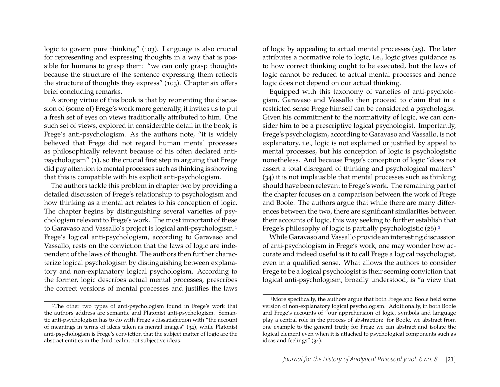logic to govern pure thinking" (103). Language is also crucial for representing and expressing thoughts in a way that is possible for humans to grasp them: "we can only grasp thoughts because the structure of the sentence expressing them reflects the structure of thoughts they express" (103). Chapter six offers brief concluding remarks.

A strong virtue of this book is that by reorienting the discussion of (some of) Frege's work more generally, it invites us to put a fresh set of eyes on views traditionally attributed to him. One such set of views, explored in considerable detail in the book, is Frege's anti-psychologism. As the authors note, "it is widely believed that Frege did not regard human mental processes as philosophically relevant because of his often declared antipsychologism" (1), so the crucial first step in arguing that Frege did pay attention to mental processes such as thinking is showing that this is compatible with his explicit anti-psychologism.

The authors tackle this problem in chapter two by providing a detailed discussion of Frege's relationship to psychologism and how thinking as a mental act relates to his conception of logic. The chapter begins by distinguishing several varieties of psychologism relevant to Frege's work. The most important of these to Garavaso and Vassallo's project is logical anti-psychologism.1 Frege's logical anti-psychologism, according to Garavaso and Vassallo, rests on the conviction that the laws of logic are independent of the laws of thought. The authors then further characterize logical psychologism by distinguishing between explanatory and non-explanatory logical psychologism. According to the former, logic describes actual mental processes, prescribes the correct versions of mental processes and justifies the laws

of logic by appealing to actual mental processes (25). The later attributes a normative role to logic, i.e., logic gives guidance as to how correct thinking ought to be executed, but the laws of logic cannot be reduced to actual mental processes and hence logic does not depend on our actual thinking.

Equipped with this taxonomy of varieties of anti-psychologism, Garavaso and Vassallo then proceed to claim that in a restricted sense Frege himself can be considered a psychologist. Given his commitment to the normativity of logic, we can consider him to be a prescriptive logical psychologist. Importantly, Frege's psychologism, according to Garavaso and Vassallo, is not explanatory, i.e., logic is not explained or justified by appeal to mental processes, but his conception of logic is psychologistic nonetheless. And because Frege's conception of logic "does not assert a total disregard of thinking and psychological matters" (34) it is not implausible that mental processes such as thinking should have been relevant to Frege's work. The remaining part of the chapter focuses on a comparison between the work of Frege and Boole. The authors argue that while there are many differences between the two, there are significant similarities between their accounts of logic, this way seeking to further establish that Frege's philosophy of logic is partially psychologistic (26).2

While Garavaso and Vassallo provide an interesting discussion of anti-psychologism in Frege's work, one may wonder how accurate and indeed useful is it to call Frege a logical psychologist, even in a qualified sense. What allows the authors to consider Frege to be a logical psychologist is their seeming conviction that logical anti-psychologism, broadly understood, is "a view that

<sup>&</sup>lt;sup>1</sup>The other two types of anti-psychologism found in Frege's work that the authors address are semantic and Platonist anti-psychologism. Semantic anti-psychologism has to do with Frege's dissatisfaction with "the account of meanings in terms of ideas taken as mental images" (34), while Platonist anti-psychologism is Frege's conviction that the subject matter of logic are the abstract entities in the third realm, not subjective ideas.

<sup>2</sup>More specifically, the authors argue that both Frege and Boole held some version of non-explanatory logical psychologism. Additionally, in both Boole and Frege's accounts of "our apprehension of logic, symbols and language play a central role in the process of abstraction: for Boole, we abstract from one example to the general truth; for Frege we can abstract and isolate the logical element even when it is attached to psychological components such as ideas and feelings" (34).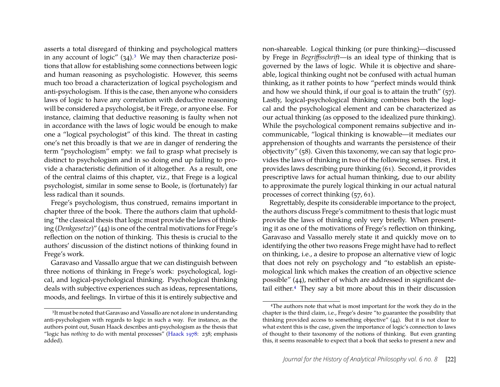asserts a total disregard of thinking and psychological matters in any account of logic"  $(34)$ .<sup>3</sup> We may then characterize positions that allow for establishing some connections between logic and human reasoning as psychologistic. However, this seems much too broad a characterization of logical psychologism and anti-psychologism. If this is the case, then anyone who considers laws of logic to have any correlation with deductive reasoning will be considered a psychologist, be it Frege, or anyone else. For instance, claiming that deductive reasoning is faulty when not in accordance with the laws of logic would be enough to make one a "logical psychologist" of this kind. The threat in casting one's net this broadly is that we are in danger of rendering the term "psychologism" empty: we fail to grasp what precisely is distinct to psychologism and in so doing end up failing to provide a characteristic definition of it altogether. As a result, one of the central claims of this chapter, viz., that Frege is a logical psychologist, similar in some sense to Boole, is (fortunately) far less radical than it sounds.

Frege's psychologism, thus construed, remains important in chapter three of the book. There the authors claim that upholding "the classical thesis that logic must provide the laws of thinking (*Denkgesetze*)" (44) is one of the central motivations for Frege's reflection on the notion of thinking. This thesis is crucial to the authors' discussion of the distinct notions of thinking found in Frege's work.

Garavaso and Vassallo argue that we can distinguish between three notions of thinking in Frege's work: psychological, logical, and logical-psychological thinking. Psychological thinking deals with subjective experiences such as ideas, representations, moods, and feelings. In virtue of this it is entirely subjective and

non-shareable. Logical thinking (or pure thinking)—discussed by Frege in *Begriffsschrift*—is an ideal type of thinking that is governed by the laws of logic. While it is objective and shareable, logical thinking ought not be confused with actual human thinking, as it rather points to how "perfect minds would think and how we should think, if our goal is to attain the truth"  $(57)$ . Lastly, logical-psychological thinking combines both the logical and the psychological element and can be characterized as our actual thinking (as opposed to the idealized pure thinking). While the psychological component remains subjective and incommunicable, "logical thinking is knowable—it mediates our apprehension of thoughts and warrants the persistence of their objectivity" (58). Given this taxonomy, we can say that logic provides the laws of thinking in two of the following senses. First, it provides laws describing pure thinking (61). Second, it provides prescriptive laws for actual human thinking, due to our ability to approximate the purely logical thinking in our actual natural processes of correct thinking (57, 61).

Regrettably, despite its considerable importance to the project, the authors discuss Frege's commitment to thesis that logic must provide the laws of thinking only very briefly. When presenting it as one of the motivations of Frege's reflection on thinking, Garavaso and Vassallo merely state it and quickly move on to identifying the other two reasons Frege might have had to reflect on thinking, i.e., a desire to propose an alternative view of logic that does not rely on psychology and "to establish an epistemological link which makes the creation of an objective science possible" (44), neither of which are addressed in significant detail either.<sup>4</sup> They say a bit more about this in their discussion

<sup>&</sup>lt;sup>3</sup>It must be noted that Garavaso and Vassallo are not alone in understanding anti-psychologism with regards to logic in such a way. For instance, as the authors point out, Susan Haack describes anti-psychologism as the thesis that "logic has *nothing* to do with mental processes" (Haack 1978: 238; emphasis added).

<sup>4</sup>The authors note that what is most important for the work they do in the chapter is the third claim, i.e., Frege's desire "to guarantee the possibility that thinking provided access to something objective" (44). But it is not clear to what extent this is the case, given the importance of logic's connection to laws of thought to their taxonomy of the notions of thinking. But even granting this, it seems reasonable to expect that a book that seeks to present a new and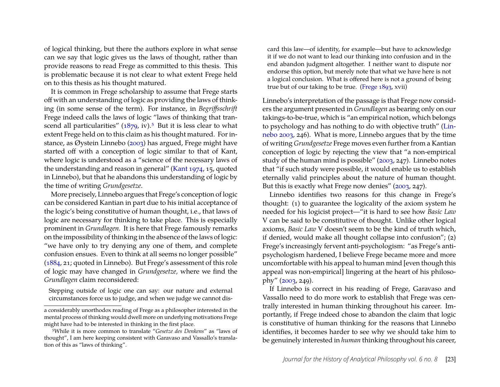of logical thinking, but there the authors explore in what sense can we say that logic gives us the laws of thought, rather than provide reasons to read Frege as committed to this thesis. This is problematic because it is not clear to what extent Frege held on to this thesis as his thought matured.

It is common in Frege scholarship to assume that Frege starts off with an understanding of logic as providing the laws of thinking (in some sense of the term). For instance, in *Begriffsschrift* Frege indeed calls the laws of logic "laws of thinking that transcend all particularities"  $(1879, \text{iv})$ .<sup>5</sup> But it is less clear to what extent Frege held on to this claim as his thought matured. For instance, as Øystein Linnebo (2003) has argued, Frege might have started off with a conception of logic similar to that of Kant, where logic is understood as a "science of the necessary laws of the understanding and reason in general" (Kant 1974, 15, quoted in Linnebo), but that he abandons this understanding of logic by the time of writing *Grundgesetze*.

More precisely, Linnebo argues that Frege's conception of logic can be considered Kantian in part due to his initial acceptance of the logic's being constitutive of human thought, i.e., that laws of logic are necessary for thinking to take place. This is especially prominent in *Grundlagen.* It is here that Frege famously remarks on the impossibility of thinking in the absence of the laws of logic: "we have only to try denying any one of them, and complete confusion ensues. Even to think at all seems no longer possible" (1884, 21; quoted in Linnebo). But Frege's assessment of this role of logic may have changed in *Grundgesetze,* where we find the *Grundlagen* claim reconsidered:

Stepping outside of logic one can say: our nature and external circumstances force us to judge, and when we judge we cannot dis-

card this law—of identity, for example—but have to acknowledge it if we do not want to lead our thinking into confusion and in the end abandon judgment altogether. I neither want to dispute nor endorse this option, but merely note that what we have here is not a logical conclusion. What is offered here is not a ground of being true but of our taking to be true. (Frege 1893, xvii)

Linnebo's interpretation of the passage is that Frege now considers the argument presented in *Grundlagen* as bearing only on our takings-to-be-true, which is "an empirical notion, which belongs to psychology and has nothing to do with objective truth" (Linnebo 2003, 246). What is more, Linnebo argues that by the time of writing *Grundgesetze* Frege moves even further from a Kantian conception of logic by rejecting the view that "a non-empirical study of the human mind is possible" (2003, 247). Linnebo notes that "if such study were possible, it would enable us to establish eternally valid principles about the nature of human thought. But this is exactly what Frege now denies" (2003, 247).

Linnebo identifies two reasons for this change in Frege's thought: (1) to guarantee the logicality of the axiom system he needed for his logicist project—"it is hard to see how *Basic Law* V can be said to be constitutive of thought. Unlike other logical axioms, *Basic Law* V doesn't seem to be the kind of truth which, if denied, would make all thought collapse into confusion"; (2) Frege's increasingly fervent anti-psychologism: "as Frege's antipsychologism hardened, I believe Frege became more and more uncomfortable with his appeal to human mind [even though this appeal was non-empirical] lingering at the heart of his philosophy" (2003, 249).

If Linnebo is correct in his reading of Frege, Garavaso and Vassallo need to do more work to establish that Frege was centrally interested in human thinking throughout his career. Importantly, if Frege indeed chose to abandon the claim that logic is constitutive of human thinking for the reasons that Linnebo identifies, it becomes harder to see why we should take him to be genuinely interested in *human* thinking throughout his career,

a considerably unorthodox reading of Frege as a philosopher interested in the mental process of thinking would dwell more on underlying motivations Frege might have had to be interested in thinking in the first place.

<sup>5</sup>While it is more common to translate "*Gesetze des Denkens*" as "laws of thought", I am here keeping consistent with Garavaso and Vassallo's translation of this as "laws of thinking".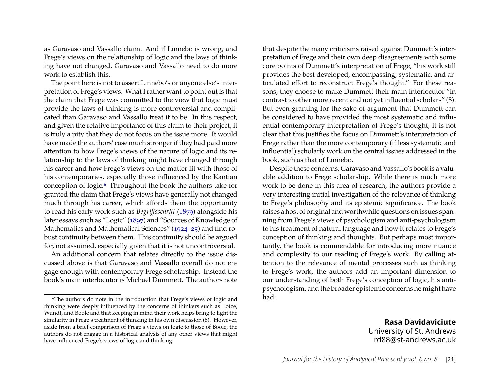as Garavaso and Vassallo claim. And if Linnebo is wrong, and Frege's views on the relationship of logic and the laws of thinking have not changed, Garavaso and Vassallo need to do more work to establish this.

The point here is not to assert Linnebo's or anyone else's interpretation of Frege's views. What I rather want to point out is that the claim that Frege was committed to the view that logic must provide the laws of thinking is more controversial and complicated than Garavaso and Vassallo treat it to be. In this respect, and given the relative importance of this claim to their project, it is truly a pity that they do not focus on the issue more. It would have made the authors' case much stronger if they had paid more attention to how Frege's views of the nature of logic and its relationship to the laws of thinking might have changed through his career and how Frege's views on the matter fit with those of his contemporaries, especially those influenced by the Kantian conception of logic.6 Throughout the book the authors take for granted the claim that Frege's views have generally not changed much through his career, which affords them the opportunity to read his early work such as *Begriffsschrift* (1879) alongside his later essays such as "Logic" (1897) and "Sources of Knowledge of Mathematics and Mathematical Sciences" (1924–25) and find robust continuity between them. This continuity should be argued for, not assumed, especially given that it is not uncontroversial.

An additional concern that relates directly to the issue discussed above is that Garavaso and Vassallo overall do not engage enough with contemporary Frege scholarship. Instead the book's main interlocutor is Michael Dummett. The authors note

that despite the many criticisms raised against Dummett's interpretation of Frege and their own deep disagreements with some core points of Dummett's interpretation of Frege, "his work still provides the best developed, encompassing, systematic, and articulated effort to reconstruct Frege's thought." For these reasons, they choose to make Dummett their main interlocutor "in contrast to other more recent and not yet influential scholars" (8). But even granting for the sake of argument that Dummett can be considered to have provided the most systematic and influential contemporary interpretation of Frege's thought, it is not clear that this justifies the focus on Dummett's interpretation of Frege rather than the more contemporary (if less systematic and influential) scholarly work on the central issues addressed in the book, such as that of Linnebo.

Despite these concerns, Garavaso and Vassallo's book is a valuable addition to Frege scholarship. While there is much more work to be done in this area of research, the authors provide a very interesting initial investigation of the relevance of thinking to Frege's philosophy and its epistemic significance. The book raises a host of original and worthwhile questions on issues spanning from Frege's views of psychologism and anti-psychologism to his treatment of natural language and how it relates to Frege's conception of thinking and thoughts. But perhaps most importantly, the book is commendable for introducing more nuance and complexity to our reading of Frege's work. By calling attention to the relevance of mental processes such as thinking to Frege's work, the authors add an important dimension to our understanding of both Frege's conception of logic, his antipsychologism, and the broader epistemic concerns he might have had.

> **Rasa Davidaviciute** University of St. Andrews rd88@st-andrews.ac.uk

<sup>6</sup>The authors do note in the introduction that Frege's views of logic and thinking were deeply influenced by the concerns of thinkers such as Lotze, Wundt, and Boole and that keeping in mind their work helps bring to light the similarity in Frege's treatment of thinking in his own discussion (8). However, aside from a brief comparison of Frege's views on logic to those of Boole, the authors do not engage in a historical analysis of any other views that might have influenced Frege's views of logic and thinking.